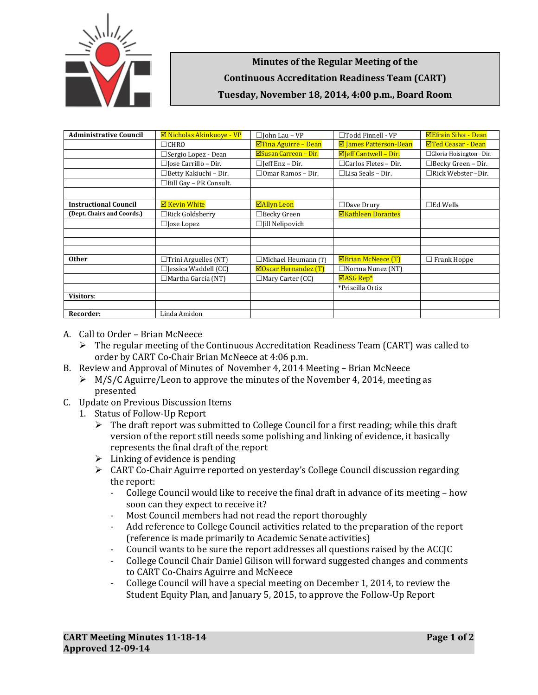

**Minutes of the Regular Meeting of the Continuous Accreditation Readiness Team (CART) Tuesday, November 18, 2014, 4:00 p.m., Board Room**

| <b>Administrative Council</b> | <b>Ø</b> Nicholas Akinkuoye - VP | $\Box$ John Lau – VP            | $\Box$ Todd Finnell - VP        | <b>⊠Efrain Silva - Dean</b> |
|-------------------------------|----------------------------------|---------------------------------|---------------------------------|-----------------------------|
|                               | $\Box$ CHRO                      | <b>ØTina Aguirre - Dean</b>     | <b>Ø</b> James Patterson-Dean   | <b>⊠Ted Ceasar - Dean</b>   |
|                               | □ Sergio Lopez - Dean            | ⊠Susan Carreon - Dir.           | $\Box$ Jeff Cantwell - Dir.     | □ Gloria Hoisington-Dir.    |
|                               | $\square$ Jose Carrillo – Dir.   | $\Box$ [eff Enz – Dir.          | $\Box$ Carlos Fletes – Dir.     | $\Box$ Becky Green - Dir.   |
|                               | $\Box$ Betty Kakiuchi – Dir.     | $\Box$ Omar Ramos – Dir.        | $\Box$ Lisa Seals – Dir.        | $\Box$ Rick Webster -Dir.   |
|                               | $\Box$ Bill Gay - PR Consult.    |                                 |                                 |                             |
|                               |                                  |                                 |                                 |                             |
| <b>Instructional Council</b>  | <b>⊠ Kevin White</b>             | <b>⊠Allyn Leon</b>              | $\Box$ Dave Drury               | $\square$ Ed Wells          |
| (Dept. Chairs and Coords.)    | $\Box$ Rick Goldsberry           | $\Box$ Becky Green              | <b>ØKathleen Dorantes</b>       |                             |
|                               | $\Box$ Jose Lopez                | $\Box$ [ill Nelipovich          |                                 |                             |
|                               |                                  |                                 |                                 |                             |
|                               |                                  |                                 |                                 |                             |
|                               |                                  |                                 |                                 |                             |
| <b>Other</b>                  | $\Box$ Trini Arguelles (NT)      | $\Box$ Michael Heumann (T)      | $\boxtimes$ Brian McNeece $(T)$ | $\Box$ Frank Hoppe          |
|                               | $\Box$ Jessica Waddell (CC)      | $\boxtimes$ Oscar Hernandez (T) | $\Box$ Norma Nunez (NT)         |                             |
|                               | $\Box$ Martha Garcia (NT)        | $\Box$ Mary Carter (CC)         | $\Box$ ASG Rep*                 |                             |
|                               |                                  |                                 | *Priscilla Ortiz                |                             |
| <b>Visitors:</b>              |                                  |                                 |                                 |                             |
|                               |                                  |                                 |                                 |                             |
| Recorder:                     | Linda Amidon                     |                                 |                                 |                             |

- A. Call to Order Brian McNeece
	- $\triangleright$  The regular meeting of the Continuous Accreditation Readiness Team (CART) was called to order by CART Co-Chair Brian McNeece at 4:06 p.m.
- B. Review and Approval of Minutes of November 4, 2014 Meeting Brian McNeece
	- $\triangleright$  M/S/C Aguirre/Leon to approve the minutes of the November 4, 2014, meeting as presented
- C. Update on Previous Discussion Items
	- 1. Status of Follow-Up Report
		- $\triangleright$  The draft report was submitted to College Council for a first reading; while this draft version of the report still needs some polishing and linking of evidence, it basically represents the final draft of the report
		- $\triangleright$  Linking of evidence is pending
		- $\triangleright$  CART Co-Chair Aguirre reported on vesterday's College Council discussion regarding the report:
			- College Council would like to receive the final draft in advance of its meeting how soon can they expect to receive it?
			- Most Council members had not read the report thoroughly
			- Add reference to College Council activities related to the preparation of the report (reference is made primarily to Academic Senate activities)
			- Council wants to be sure the report addresses all questions raised by the ACCJC
			- College Council Chair Daniel Gilison will forward suggested changes and comments to CART Co-Chairs Aguirre and McNeece
			- College Council will have a special meeting on December 1, 2014, to review the Student Equity Plan, and January 5, 2015, to approve the Follow-Up Report